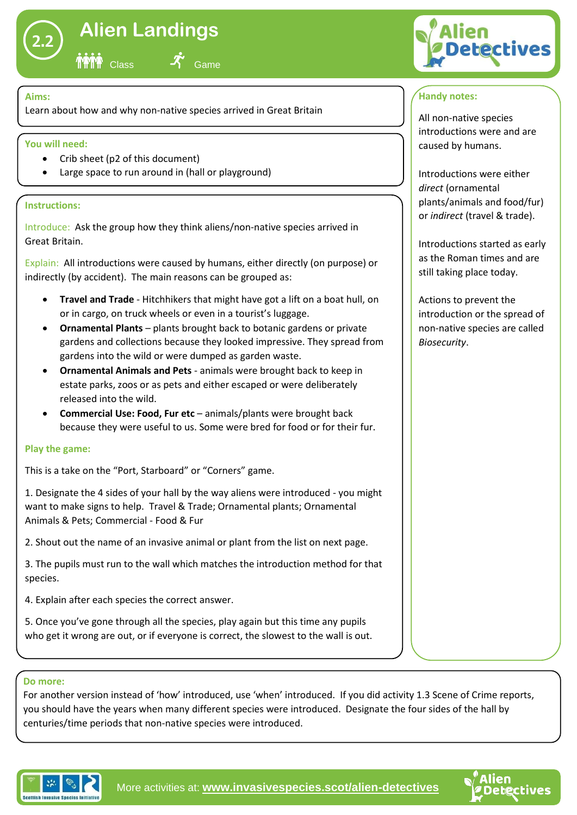

# **Alien Landings**

Class **-1** Game

## **Aims:**

Learn about how and why non-native species arrived in Great Britain

## **You will need:**

- Crib sheet (p2 of this document)
- Large space to run around in (hall or playground)

## **Instructions:**

Introduce: Ask the group how they think aliens/non-native species arrived in Great Britain.

Explain: All introductions were caused by humans, either directly (on purpose) or indirectly (by accident). The main reasons can be grouped as:

- **Travel and Trade** Hitchhikers that might have got a lift on a boat hull, on or in cargo, on truck wheels or even in a tourist's luggage.
- **Ornamental Plants** plants brought back to botanic gardens or private gardens and collections because they looked impressive. They spread from gardens into the wild or were dumped as garden waste.
- **Ornamental Animals and Pets**  animals were brought back to keep in estate parks, zoos or as pets and either escaped or were deliberately released into the wild.
- **Commercial Use: Food, Fur etc** animals/plants were brought back because they were useful to us. Some were bred for food or for their fur.

## **Play the game:**

This is a take on the "Port, Starboard" or "Corners" game.

1. Designate the 4 sides of your hall by the way aliens were introduced - you might want to make signs to help. Travel & Trade; Ornamental plants; Ornamental Animals & Pets; Commercial - Food & Fur

2. Shout out the name of an invasive animal or plant from the list on next page.

3. The pupils must run to the wall which matches the introduction method for that species.

4. Explain after each species the correct answer.

5. Once you've gone through all the species, play again but this time any pupils who get it wrong are out, or if everyone is correct, the slowest to the wall is out.

#### **Do more:**

For another version instead of 'how' introduced, use 'when' introduced. If you did activity 1.3 Scene of Crime reports, you should have the years when many different species were introduced. Designate the four sides of the hall by centuries/time periods that non-native species were introduced.



# **Handy notes:**

All non-native species introductions were and are caused by humans.

Introductions were either *direct* (ornamental plants/animals and food/fur) or *indirect* (travel & trade).

Introductions started as early as the Roman times and are still taking place today.

Actions to prevent the introduction or the spread of non-native species are called *Biosecurity*.